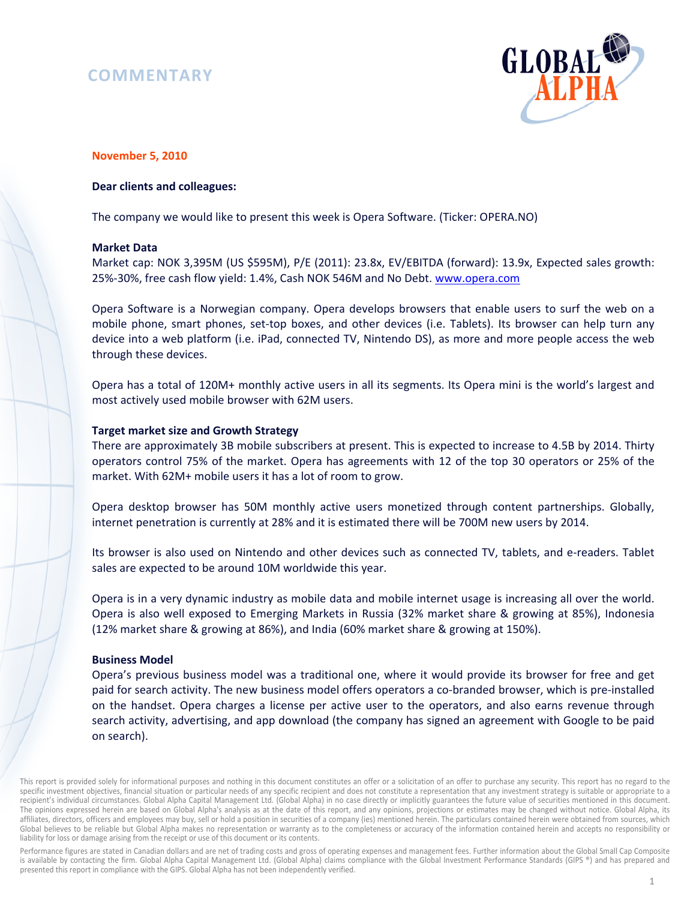# **COMMENTARY**



# **November 5, 2010**

## **Dear clients and colleagues:**

The company we would like to present this week is Opera Software. (Ticker: OPERA.NO)

#### **Market Data**

Market cap: NOK 3,395M (US \$595M), P/E (2011): 23.8x, EV/EBITDA (forward): 13.9x, Expected sales growth: 25%-30%, free cash flow yield: 1.4%, Cash NOK 546M and No Debt. www.opera.com

Opera Software is a Norwegian company. Opera develops browsers that enable users to surf the web on a mobile phone, smart phones, set-top boxes, and other devices (i.e. Tablets). Its browser can help turn any device into a web platform (i.e. iPad, connected TV, Nintendo DS), as more and more people access the web through these devices.

Opera has a total of 120M+ monthly active users in all its segments. Its Opera mini is the world's largest and most actively used mobile browser with 62M users.

### **Target market size and Growth Strategy**

There are approximately 3B mobile subscribers at present. This is expected to increase to 4.5B by 2014. Thirty operators control 75% of the market. Opera has agreements with 12 of the top 30 operators or 25% of the market. With 62M+ mobile users it has a lot of room to grow.

Opera desktop browser has 50M monthly active users monetized through content partnerships. Globally, internet penetration is currently at 28% and it is estimated there will be 700M new users by 2014.

Its browser is also used on Nintendo and other devices such as connected TV, tablets, and e-readers. Tablet sales are expected to be around 10M worldwide this year.

Opera is in a very dynamic industry as mobile data and mobile internet usage is increasing all over the world. Opera is also well exposed to Emerging Markets in Russia (32% market share & growing at 85%), Indonesia (12% market share & growing at 86%), and India (60% market share & growing at 150%).

# **Business Model**

Opera's previous business model was a traditional one, where it would provide its browser for free and get paid for search activity. The new business model offers operators a co-branded browser, which is pre-installed on the handset. Opera charges a license per active user to the operators, and also earns revenue through search activity, advertising, and app download (the company has signed an agreement with Google to be paid on search).

This report is provided solely for informational purposes and nothing in this document constitutes an offer or a solicitation of an offer to purchase any security. This report has no regard to the specific investment objectives, financial situation or particular needs of any specific recipient and does not constitute a representation that any investment strategy is suitable or appropriate to a recipient's individual circumstances. Global Alpha Capital Management Ltd. (Global Alpha) in no case directly or implicitly guarantees the future value of securities mentioned in this document. The opinions expressed herein are based on Global Alpha's analysis as at the date of this report, and any opinions, projections or estimates may be changed without notice. Global Alpha, its affiliates, directors, officers and employees may buy, sell or hold a position in securities of a company (ies) mentioned herein. The particulars contained herein were obtained from sources, which Global believes to be reliable but Global Alpha makes no representation or warranty as to the completeness or accuracy of the information contained herein and accepts no responsibility or liability for loss or damage arising from the receipt or use of this document or its contents.

Performance figures are stated in Canadian dollars and are net of trading costs and gross of operating expenses and management fees. Further information about the Global Small Cap Composite is available by contacting the firm. Global Alpha Capital Management Ltd. (Global Alpha) claims compliance with the Global Investment Performance Standards (GIPS ®) and has prepared and presented this report in compliance with the GIPS. Global Alpha has not been independently verified.